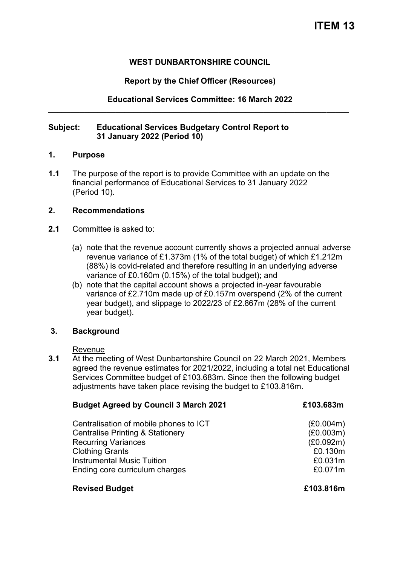## **WEST DUNBARTONSHIRE COUNCIL**

## **Report by the Chief Officer (Resources)**

## **Educational Services Committee: 16 March 2022**  \_\_\_\_\_\_\_\_\_\_\_\_\_\_\_\_\_\_\_\_\_\_\_\_\_\_\_\_\_\_\_\_\_\_\_\_\_\_\_\_\_\_\_\_\_\_\_\_\_\_\_\_\_\_\_\_\_\_\_\_\_\_\_\_\_\_\_

### **Subject: Educational Services Budgetary Control Report to 31 January 2022 (Period 10)**

#### **1. Purpose**

**1.1** The purpose of the report is to provide Committee with an update on the financial performance of Educational Services to 31 January 2022 (Period 10).

## **2. Recommendations**

- **2.1** Committee is asked to:
	- (a) note that the revenue account currently shows a projected annual adverse revenue variance of £1.373m (1% of the total budget) of which £1.212m (88%) is covid-related and therefore resulting in an underlying adverse variance of £0.160m (0.15%) of the total budget); and
	- (b) note that the capital account shows a projected in-year favourable variance of £2.710m made up of £0.157m overspend (2% of the current year budget), and slippage to 2022/23 of £2.867m (28% of the current year budget).

## **3. Background**

#### Revenue

**3.1** At the meeting of West Dunbartonshire Council on 22 March 2021, Members agreed the revenue estimates for 2021/2022, including a total net Educational Services Committee budget of £103.683m. Since then the following budget adjustments have taken place revising the budget to £103.816m.

| <b>Budget Agreed by Council 3 March 2021</b> | £103.683m |
|----------------------------------------------|-----------|
| Centralisation of mobile phones to ICT       | (E0.004m) |
| <b>Centralise Printing &amp; Stationery</b>  | (E0.003m) |
| <b>Recurring Variances</b>                   | (E0.092m) |
| <b>Clothing Grants</b>                       | £0.130m   |
| <b>Instrumental Music Tuition</b>            | £0.031m   |
| Ending core curriculum charges               | £0.071m   |

## **Revised Budget £103.816m**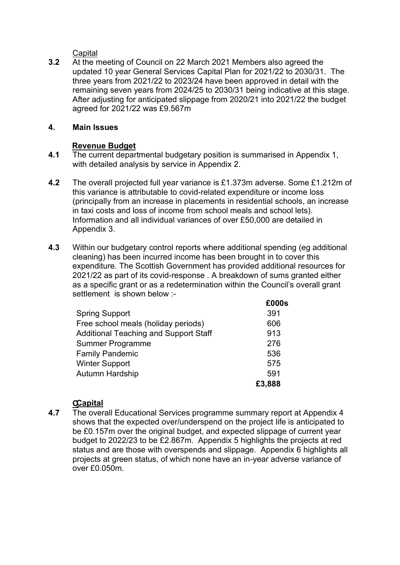**Capital** 

**3.2** At the meeting of Council on 22 March 2021 Members also agreed the updated 10 year General Services Capital Plan for 2021/22 to 2030/31. The three years from 2021/22 to 2023/24 have been approved in detail with the remaining seven years from 2024/25 to 2030/31 being indicative at this stage. After adjusting for anticipated slippage from 2020/21 into 2021/22 the budget agreed for 2021/22 was £9.567m

## **4. Main Issues**

# **Revenue Budget**

- **4.1** The current departmental budgetary position is summarised in Appendix 1, with detailed analysis by service in Appendix 2.
- **4.2** The overall projected full year variance is £1.373m adverse. Some £1.212m of this variance is attributable to covid-related expenditure or income loss (principally from an increase in placements in residential schools, an increase in taxi costs and loss of income from school meals and school lets). Information and all individual variances of over £50,000 are detailed in Appendix 3.
- **4.3** Within our budgetary control reports where additional spending (eg additional cleaning) has been incurred income has been brought in to cover this expenditure. The Scottish Government has provided additional resources for 2021/22 as part of its covid-response . A breakdown of sums granted either as a specific grant or as a redetermination within the Council's overall grant settlement is shown below :-**£000s**

| <b>ŁUUUS</b> |
|--------------|
| 391          |
| 606          |
| 913          |
| 276          |
| 536          |
| 575          |
| 591          |
| £3,888       |
|              |

# **C Capital**

**4.7** The overall Educational Services programme summary report at Appendix 4 shows that the expected over/underspend on the project life is anticipated to be £0.157m over the original budget, and expected slippage of current year budget to 2022/23 to be £2.867m. Appendix 5 highlights the projects at red status and are those with overspends and slippage. Appendix 6 highlights all projects at green status, of which none have an in-year adverse variance of over £0.050m.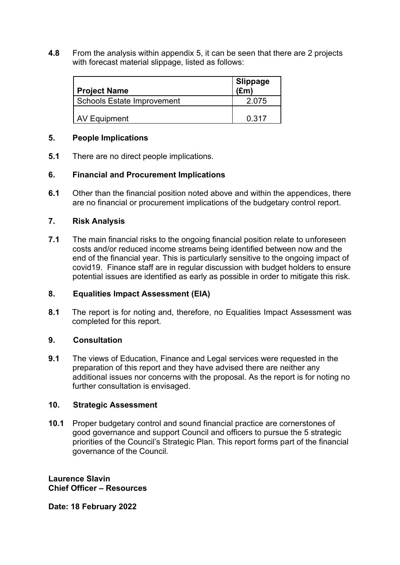**4.8** From the analysis within appendix 5, it can be seen that there are 2 projects with forecast material slippage, listed as follows:

| <b>Project Name</b>               | <b>Slippage</b><br>$(\mathbf{f}$ m |
|-----------------------------------|------------------------------------|
| <b>Schools Estate Improvement</b> | 2 0 7 5                            |
| AV Equipment                      | 0.317                              |

## **5. People Implications**

**5.1** There are no direct people implications.

# **6. Financial and Procurement Implications**

**6.1** Other than the financial position noted above and within the appendices, there are no financial or procurement implications of the budgetary control report.

## **7. Risk Analysis**

**7.1** The main financial risks to the ongoing financial position relate to unforeseen costs and/or reduced income streams being identified between now and the end of the financial year. This is particularly sensitive to the ongoing impact of covid19. Finance staff are in regular discussion with budget holders to ensure potential issues are identified as early as possible in order to mitigate this risk.

## **8. Equalities Impact Assessment (EIA)**

**8.1** The report is for noting and, therefore, no Equalities Impact Assessment was completed for this report.

## **9. Consultation**

**9.1** The views of Education, Finance and Legal services were requested in the preparation of this report and they have advised there are neither any additional issues nor concerns with the proposal. As the report is for noting no further consultation is envisaged.

## **10. Strategic Assessment**

**10.1** Proper budgetary control and sound financial practice are cornerstones of good governance and support Council and officers to pursue the 5 strategic priorities of the Council's Strategic Plan. This report forms part of the financial governance of the Council.

**Laurence Slavin Chief Officer – Resources** 

**Date: 18 February 2022**